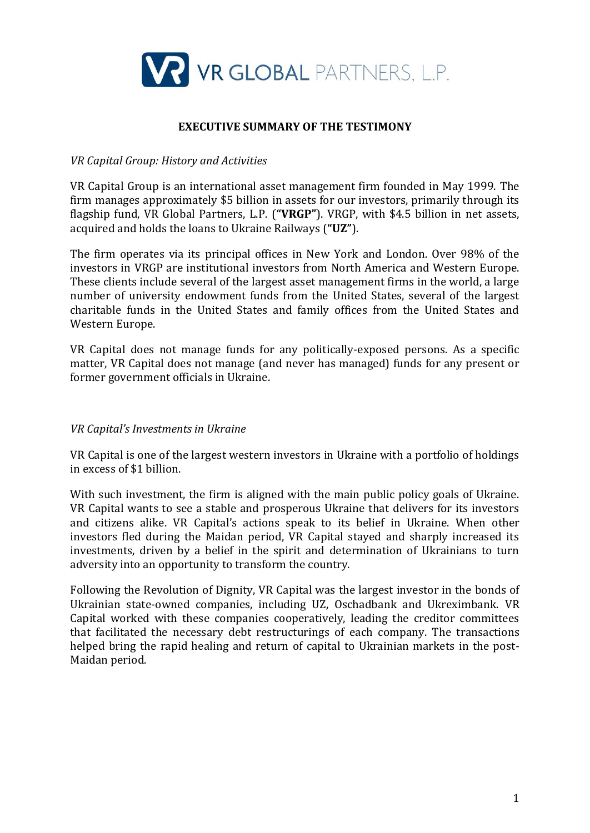

# **EXECUTIVE SUMMARY OF THE TESTIMONY**

## *VR Capital Group: History and Activities*

VR Capital Group is an international asset management firm founded in May 1999. The firm manages approximately \$5 billion in assets for our investors, primarily through its flagship fund, VR Global Partners, L.P. (**"VRGP"**). VRGP, with \$4.5 billion in net assets, acquired and holds the loans to Ukraine Railways (**"UZ"**).

The firm operates via its principal offices in New York and London. Over 98% of the investors in VRGP are institutional investors from North America and Western Europe. These clients include several of the largest asset management firms in the world, a large number of university endowment funds from the United States, several of the largest charitable funds in the United States and family offices from the United States and Western Europe.

VR Capital does not manage funds for any politically-exposed persons. As a specific matter, VR Capital does not manage (and never has managed) funds for any present or former government officials in Ukraine.

## *VR Capital's Investments in Ukraine*

VR Capital is one of the largest western investors in Ukraine with a portfolio of holdings in excess of \$1 billion.

With such investment, the firm is aligned with the main public policy goals of Ukraine. VR Capital wants to see a stable and prosperous Ukraine that delivers for its investors and citizens alike. VR Capital's actions speak to its belief in Ukraine. When other investors fled during the Maidan period, VR Capital stayed and sharply increased its investments, driven by a belief in the spirit and determination of Ukrainians to turn adversity into an opportunity to transform the country.

Following the Revolution of Dignity, VR Capital was the largest investor in the bonds of Ukrainian state-owned companies, including UZ, Oschadbank and Ukreximbank. VR Capital worked with these companies cooperatively, leading the creditor committees that facilitated the necessary debt restructurings of each company. The transactions helped bring the rapid healing and return of capital to Ukrainian markets in the post-Maidan period.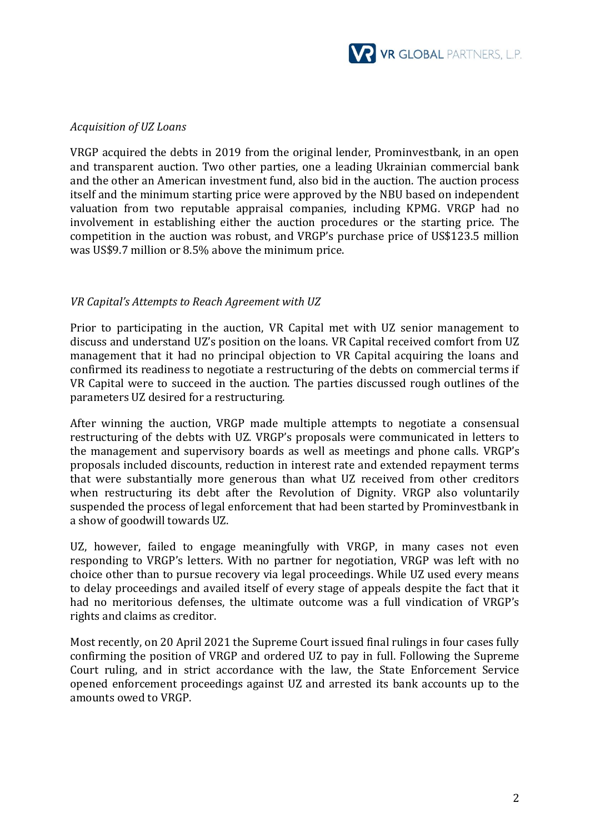

#### *Acquisition of UZ Loans*

VRGP acquired the debts in 2019 from the original lender, Prominvestbank, in an open and transparent auction. Two other parties, one a leading Ukrainian commercial bank and the other an American investment fund, also bid in the auction. The auction process itself and the minimum starting price were approved by the NBU based on independent valuation from two reputable appraisal companies, including KPMG. VRGP had no involvement in establishing either the auction procedures or the starting price. The competition in the auction was robust, and VRGP's purchase price of US\$123.5 million was US\$9.7 million or 8.5% above the minimum price.

### *VR Capital's Attempts to Reach Agreement with UZ*

Prior to participating in the auction, VR Capital met with UZ senior management to discuss and understand UZ's position on the loans. VR Capital received comfort from UZ management that it had no principal objection to VR Capital acquiring the loans and confirmed its readiness to negotiate a restructuring of the debts on commercial terms if VR Capital were to succeed in the auction. The parties discussed rough outlines of the parameters UZ desired for a restructuring.

After winning the auction, VRGP made multiple attempts to negotiate a consensual restructuring of the debts with UZ. VRGP's proposals were communicated in letters to the management and supervisory boards as well as meetings and phone calls. VRGP's proposals included discounts, reduction in interest rate and extended repayment terms that were substantially more generous than what UZ received from other creditors when restructuring its debt after the Revolution of Dignity. VRGP also voluntarily suspended the process of legal enforcement that had been started by Prominvestbank in a show of goodwill towards UZ.

UZ, however, failed to engage meaningfully with VRGP, in many cases not even responding to VRGP's letters. With no partner for negotiation, VRGP was left with no choice other than to pursue recovery via legal proceedings. While UZ used every means to delay proceedings and availed itself of every stage of appeals despite the fact that it had no meritorious defenses, the ultimate outcome was a full vindication of VRGP's rights and claims as creditor.

Most recently, on 20 April 2021 the Supreme Court issued final rulings in four cases fully confirming the position of VRGP and ordered UZ to pay in full. Following the Supreme Court ruling, and in strict accordance with the law, the State Enforcement Service opened enforcement proceedings against UZ and arrested its bank accounts up to the amounts owed to VRGP.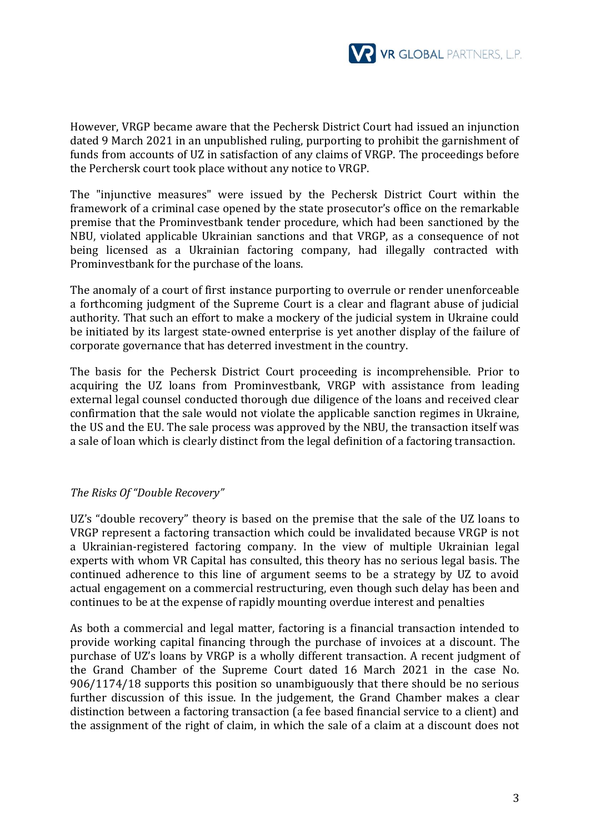

However, VRGP became aware that the Pechersk District Court had issued an injunction dated 9 March 2021 in an unpublished ruling, purporting to prohibit the garnishment of funds from accounts of UZ in satisfaction of any claims of VRGP. The proceedings before the Perchersk court took place without any notice to VRGP.

The "injunctive measures" were issued by the Pechersk District Court within the framework of a criminal case opened by the state prosecutor's office on the remarkable premise that the Prominvestbank tender procedure, which had been sanctioned by the NBU, violated applicable Ukrainian sanctions and that VRGP, as a consequence of not being licensed as a Ukrainian factoring company, had illegally contracted with Prominvestbank for the purchase of the loans.

The anomaly of a court of first instance purporting to overrule or render unenforceable a forthcoming judgment of the Supreme Court is a clear and flagrant abuse of judicial authority. That such an effort to make a mockery of the judicial system in Ukraine could be initiated by its largest state-owned enterprise is yet another display of the failure of corporate governance that has deterred investment in the country.

The basis for the Pechersk District Court proceeding is incomprehensible. Prior to acquiring the UZ loans from Prominvestbank, VRGP with assistance from leading external legal counsel conducted thorough due diligence of the loans and received clear confirmation that the sale would not violate the applicable sanction regimes in Ukraine, the US and the EU. The sale process was approved by the NBU, the transaction itself was a sale of loan which is clearly distinct from the legal definition of a factoring transaction.

## *The Risks Of "Double Recovery"*

UZ's "double recovery" theory is based on the premise that the sale of the UZ loans to VRGP represent a factoring transaction which could be invalidated because VRGP is not a Ukrainian-registered factoring company. In the view of multiple Ukrainian legal experts with whom VR Capital has consulted, this theory has no serious legal basis. The continued adherence to this line of argument seems to be a strategy by UZ to avoid actual engagement on a commercial restructuring, even though such delay has been and continues to be at the expense of rapidly mounting overdue interest and penalties

As both a commercial and legal matter, factoring is a financial transaction intended to provide working capital financing through the purchase of invoices at a discount. The purchase of UZ's loans by VRGP is a wholly different transaction. A recent judgment of the Grand Chamber of the Supreme Court dated 16 March 2021 in the case No. 906/1174/18 supports this position so unambiguously that there should be no serious further discussion of this issue. In the judgement, the Grand Chamber makes a clear distinction between a factoring transaction (a fee based financial service to a client) and the assignment of the right of claim, in which the sale of a claim at a discount does not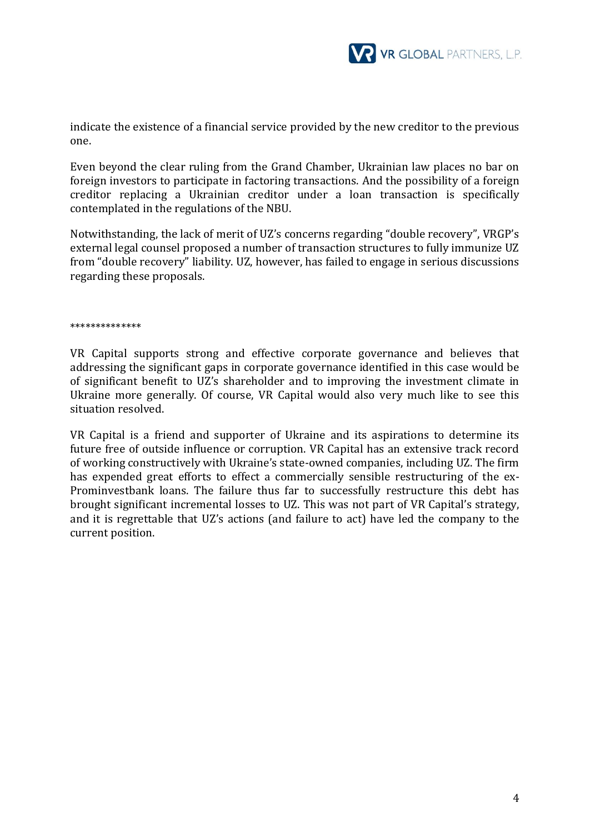

indicate the existence of a financial service provided by the new creditor to the previous one.

Even beyond the clear ruling from the Grand Chamber, Ukrainian law places no bar on foreign investors to participate in factoring transactions. And the possibility of a foreign creditor replacing a Ukrainian creditor under a loan transaction is specifically contemplated in the regulations of the NBU.

Notwithstanding, the lack of merit of UZ's concerns regarding "double recovery", VRGP's external legal counsel proposed a number of transaction structures to fully immunize UZ from "double recovery" liability. UZ, however, has failed to engage in serious discussions regarding these proposals.

\*\*\*\*\*\*\*\*\*\*\*\*\*\*

VR Capital supports strong and effective corporate governance and believes that addressing the significant gaps in corporate governance identified in this case would be of significant benefit to UZ's shareholder and to improving the investment climate in Ukraine more generally. Of course, VR Capital would also very much like to see this situation resolved.

VR Capital is a friend and supporter of Ukraine and its aspirations to determine its future free of outside influence or corruption. VR Capital has an extensive track record of working constructively with Ukraine's state-owned companies, including UZ. The firm has expended great efforts to effect a commercially sensible restructuring of the ex-Prominvestbank loans. The failure thus far to successfully restructure this debt has brought significant incremental losses to UZ. This was not part of VR Capital's strategy, and it is regrettable that UZ's actions (and failure to act) have led the company to the current position.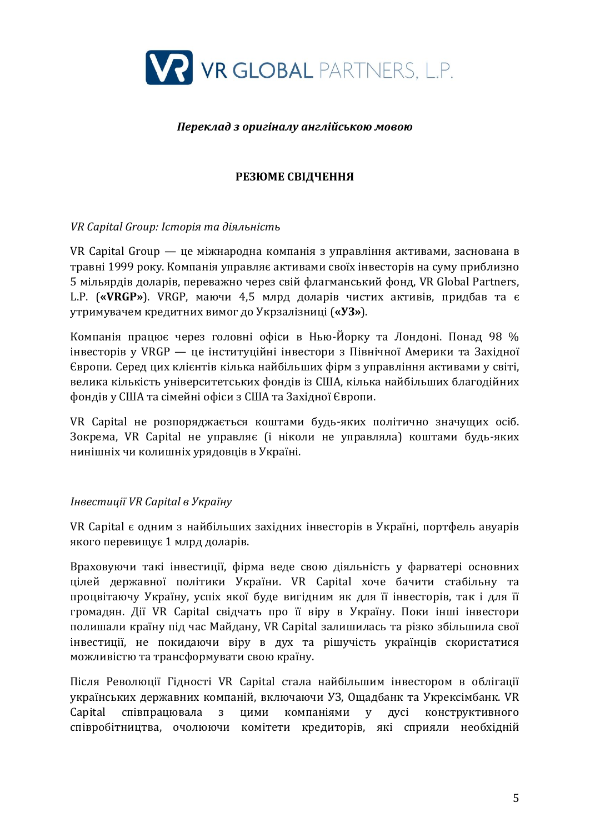

### *Переклад з оригіналу англійською мовою*

# **РЕЗЮМЕ СВІДЧЕННЯ**

## *VR Capital Group: Історія та діяльність*

VR Capital Group — це міжнародна компанія з управління активами, заснована в травні 1999 року. Компанія управляє активами своїх інвесторів на суму приблизно 5 мільярдів доларів, переважно через свій флагманський фонд, VR Global Partners, L.P. (**«VRGP»**). VRGP, маючи 4,5 млрд доларів чистих активів, придбав та є утримувачем кредитних вимог до Укрзалізниці (**«УЗ»**).

Компанія працює через головні офіси в Нью-Йорку та Лондоні. Понад 98 % інвесторів у VRGP — це інституційні інвестори з Північної Америки та Західної Європи. Серед цих клієнтів кілька найбільших фірм з управління активами у світі, велика кількість університетських фондів із США, кілька найбільших благодійних фондів у США та сімейні офіси з США та Західної Європи.

VR Capital не розпоряджається коштами будь-яких політично значущих осіб. Зокрема, VR Capital не управляє (і ніколи не управляла) коштами будь-яких нинішніх чи колишніх урядовців в Україні.

## *Інвестиції VR Capital в Україну*

VR Capital є одним з найбільших західних інвесторів в Україні, портфель авуарів якого перевищує 1 млрд доларів.

Враховуючи такі інвестиції, фірма веде свою діяльність у фарватері основних цілей державної політики України. VR Capital хоче бачити стабільну та процвітаючу Україну, успіх якої буде вигідним як для її інвесторів, так і для її громадян. Дії VR Capital свідчать про її віру в Україну. Поки інші інвестори полишали країну під час Майдану, VR Capital залишилась та різко збільшила свої інвестиції, не покидаючи віру в дух та рішучість українців скористатися можливістю та трансформувати свою країну.

Після Революції Гідності VR Capital стала найбільшим інвестором в облігації українських державних компаній, включаючи УЗ, Ощадбанк та Укрексімбанк. VR Capital співпрацювала з цими компаніями у дусі конструктивного співробітництва, очолюючи комітети кредиторів, які сприяли необхідній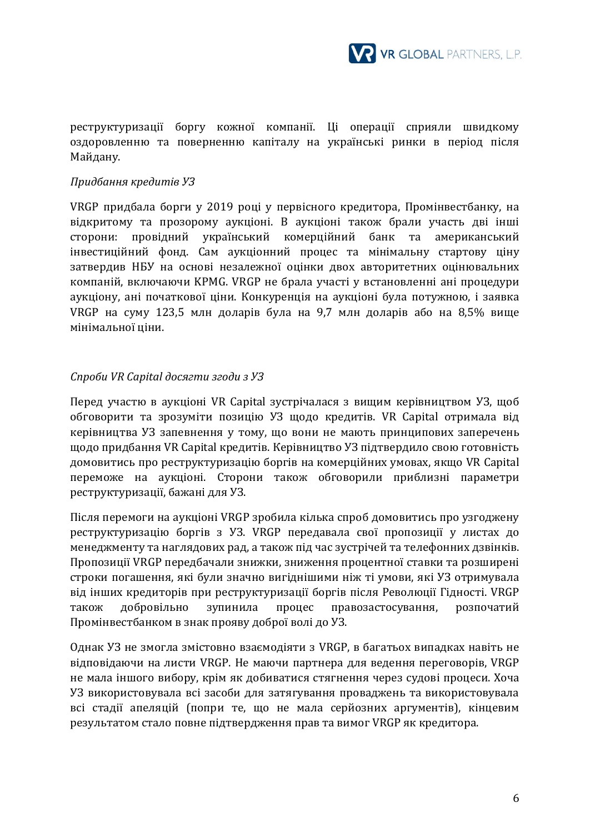

реструктуризації боргу кожної компанії. Ці операції сприяли швидкому оздоровленню та поверненню капіталу на українські ринки в період після Майдану.

### *Придбання кредитів УЗ*

VRGP придбала борги у 2019 році у первісного кредитора, Промінвестбанку, на відкритому та прозорому аукціоні. В аукціоні також брали участь дві інші сторони: провідний український комерційний банк та американський інвестиційний фонд. Сам аукціонний процес та мінімальну стартову ціну затвердив НБУ на основі незалежної оцінки двох авторитетних оцінювальних компаній, включаючи KPMG. VRGP не брала участі у встановленні ані процедури аукціону, ані початкової ціни. Конкуренція на аукціоні була потужною, і заявка VRGP на суму 123,5 млн доларів була на 9,7 млн доларів або на 8,5% вище мінімальної ціни.

### *Спроби VR Capital досягти згоди з УЗ*

Перед участю в аукціоні VR Capital зустрічалася з вищим керівництвом УЗ, щоб обговорити та зрозуміти позицію УЗ щодо кредитів. VR Capital отримала від керівництва УЗ запевнення у тому, що вони не мають принципових заперечень щодо придбання VR Capital кредитів. Керівництво УЗ підтвердило свою готовність домовитись про реструктуризацію боргів на комерційних умовах, якщо VR Capital переможе на аукціоні. Сторони також обговорили приблизні параметри реструктуризації, бажані для УЗ.

Після перемоги на аукціоні VRGP зробила кілька спроб домовитись про узгоджену реструктуризацію боргів з УЗ. VRGP передавала свої пропозиції у листах до менеджменту та наглядових рад, а також під час зустрічей та телефонних дзвінків. Пропозиції VRGP передбачали знижки, зниження процентної ставки та розширені строки погашення, які були значно вигіднішими ніж ті умови, які УЗ отримувала від інших кредиторів при реструктуризації боргів після Революції Гідності. VRGP також добровільно зупинила процес правозастосування, розпочатий Промінвестбанком в знак прояву доброї волі до УЗ.

Однак УЗ не змогла змістовно взаємодіяти з VRGP, в багатьох випадках навіть не відповідаючи на листи VRGP. Не маючи партнера для ведення переговорів, VRGP не мала іншого вибору, крім як добиватися стягнення через судові процеси. Хоча УЗ використовувала всі засоби для затягування проваджень та використовувала всі стадії апеляцій (попри те, що не мала серйозних аргументів), кінцевим результатом стало повне підтвердження прав та вимог VRGP як кредитора.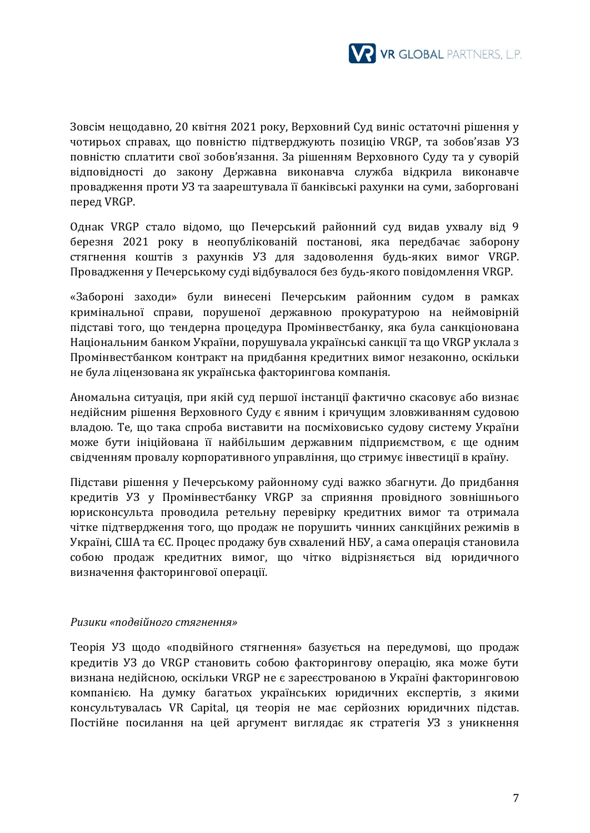

Зовсім нещодавно, 20 квітня 2021 року, Верховний Суд виніс остаточні рішення у чотирьох справах, що повністю підтверджують позицію VRGP, та зобов'язав УЗ повністю сплатити свої зобов'язання. За рішенням Верховного Суду та у суворій відповідності до закону Державна виконавча служба відкрила виконавче провадження проти УЗ та заарештувала її банківські рахунки на суми, заборговані перед VRGP.

Однак VRGP стало відомо, що Печерський районний суд видав ухвалу від 9 березня 2021 року в неопублікованій постанові, яка передбачає заборону стягнення коштів з рахунків УЗ для задоволення будь-яких вимог VRGP. Провадження у Печерському суді відбувалося без будь-якого повідомлення VRGP.

«Забороні заходи» були винесені Печерським районним судом в рамках кримінальної справи, порушеної державною прокуратурою на неймовірній підставі того, що тендерна процедура Промінвестбанку, яка була санкціонована Національним банком України, порушувала українські санкції та що VRGP уклала з Промінвестбанком контракт на придбання кредитних вимог незаконно, оскільки не була ліцензована як українська факторингова компанія.

Аномальна ситуація, при якій суд першої інстанції фактично скасовує або визнає недійсним рішення Верховного Суду є явним і кричущим зловживанням судовою владою. Те, що така спроба виставити на посміховисько судову систему України може бути ініційована її найбільшим державним підприємством, є ще одним свідченням провалу корпоративного управління, що стримує інвестиції в країну.

Підстави рішення у Печерському районному суді важко збагнути. До придбання кредитів УЗ у Промінвестбанку VRGP за сприяння провідного зовнішнього юрисконсульта проводила ретельну перевірку кредитних вимог та отримала чітке підтвердження того, що продаж не порушить чинних санкційних режимів в Україні, США та ЄС. Процес продажу був схвалений НБУ, а сама операція становила собою продаж кредитних вимог, що чітко відрізняється від юридичного визначення факторингової операції.

#### *Ризики «подвійного стягнення»*

Теорія УЗ щодо «подвійного стягнення» базується на передумові, що продаж кредитів УЗ до VRGP становить собою факторингову операцію, яка може бути визнана недійсною, оскільки VRGP не є зареєстрованою в Україні факторинговою компанією. На думку багатьох українських юридичних експертів, з якими консультувалась VR Capital, ця теорія не має серйозних юридичних підстав. Постійне посилання на цей аргумент виглядає як стратегія УЗ з уникнення